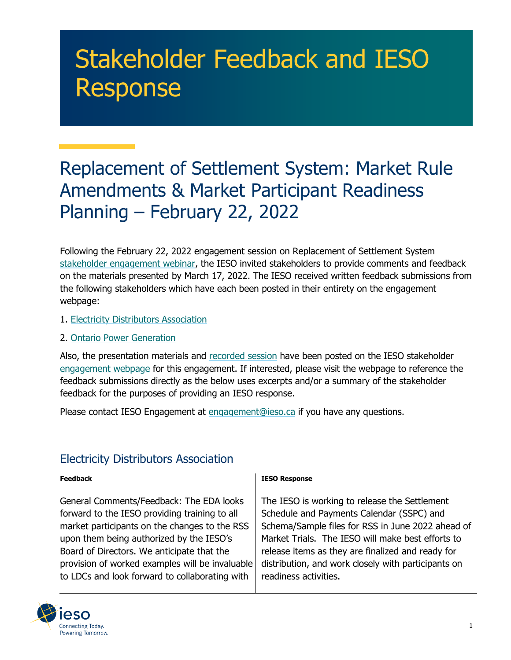## Stakeholder Feedback and IESO Response

## Replacement of Settlement System: Market Rule Amendments & Market Participant Readiness Planning – February 22, 2022

Following the February 22, 2022 engagement session on Replacement of Settlement System [stakeholder engagement webinar,](https://ieso.ca/-/media/Files/IESO/Document-Library/engage/imrm/imrm-20220222-RSS-presentation.ashx) the IESO invited stakeholders to provide comments and feedback on the materials presented by March 17, 2022. The IESO received written feedback submissions from the following stakeholders which have each been posted in their entirety on the engagement webpage:

- 1. [Electricity Distributors](https://ieso.ca/-/media/Files/IESO/Document-Library/engage/imrm/imrm-20220317-electricity-distributors-association.ashx) Association
- 2. [Ontario Power Generation](https://ieso.ca/-/media/Files/IESO/Document-Library/engage/imrm/imrm-20220317-ontario-power-generation.ashx)

Also, the presentation materials and [recorded session](https://youtu.be/vsaq4rMgtUk) have been posted on the IESO stakeholder [engagement webpage](https://ieso.ca/en/Market-Renewal/Stakeholder-Engagements/Implementation-Engagement-Market-Rules-and-Market-Manuals) for this engagement. If interested, please visit the webpage to reference the feedback submissions directly as the below uses excerpts and/or a summary of the stakeholder feedback for the purposes of providing an IESO response.

Please contact IESO Engagement at [engagement@ieso.ca](mailto:engagement@ieso.ca) if you have any questions.

## Electricity Distributors Association

| <b>Feedback</b>                                 | <b>IESO Response</b>                                |
|-------------------------------------------------|-----------------------------------------------------|
| General Comments/Feedback: The EDA looks        | The IESO is working to release the Settlement       |
| forward to the IESO providing training to all   | Schedule and Payments Calendar (SSPC) and           |
| market participants on the changes to the RSS   | Schema/Sample files for RSS in June 2022 ahead of   |
| upon them being authorized by the IESO's        | Market Trials. The IESO will make best efforts to   |
| Board of Directors. We anticipate that the      | release items as they are finalized and ready for   |
| provision of worked examples will be invaluable | distribution, and work closely with participants on |
| to LDCs and look forward to collaborating with  | readiness activities.                               |

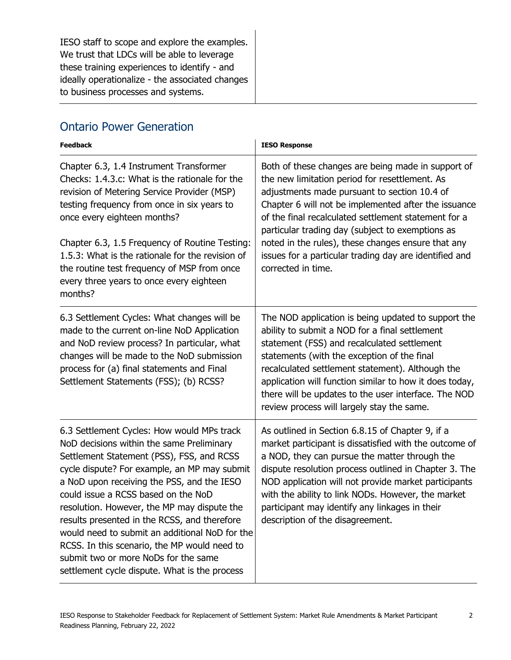IESO staff to scope and explore the examples. We trust that LDCs will be able to leverage these training experiences to identify - and ideally operationalize - the associated changes to business processes and systems.

## Ontario Power Generation

| <b>Feedback</b>                                                                                                                                                                                                                                                                                                                                                                                                                                                                                                                                                     | <b>IESO Response</b>                                                                                                                                                                                                                                                                                                                                                                                                                                           |
|---------------------------------------------------------------------------------------------------------------------------------------------------------------------------------------------------------------------------------------------------------------------------------------------------------------------------------------------------------------------------------------------------------------------------------------------------------------------------------------------------------------------------------------------------------------------|----------------------------------------------------------------------------------------------------------------------------------------------------------------------------------------------------------------------------------------------------------------------------------------------------------------------------------------------------------------------------------------------------------------------------------------------------------------|
| Chapter 6.3, 1.4 Instrument Transformer<br>Checks: 1.4.3.c: What is the rationale for the<br>revision of Metering Service Provider (MSP)<br>testing frequency from once in six years to<br>once every eighteen months?<br>Chapter 6.3, 1.5 Frequency of Routine Testing:<br>1.5.3: What is the rationale for the revision of<br>the routine test frequency of MSP from once<br>every three years to once every eighteen<br>months?                                                                                                                                  | Both of these changes are being made in support of<br>the new limitation period for resettlement. As<br>adjustments made pursuant to section 10.4 of<br>Chapter 6 will not be implemented after the issuance<br>of the final recalculated settlement statement for a<br>particular trading day (subject to exemptions as<br>noted in the rules), these changes ensure that any<br>issues for a particular trading day are identified and<br>corrected in time. |
| 6.3 Settlement Cycles: What changes will be<br>made to the current on-line NoD Application<br>and NoD review process? In particular, what<br>changes will be made to the NoD submission<br>process for (a) final statements and Final<br>Settlement Statements (FSS); (b) RCSS?                                                                                                                                                                                                                                                                                     | The NOD application is being updated to support the<br>ability to submit a NOD for a final settlement<br>statement (FSS) and recalculated settlement<br>statements (with the exception of the final<br>recalculated settlement statement). Although the<br>application will function similar to how it does today,<br>there will be updates to the user interface. The NOD<br>review process will largely stay the same.                                       |
| 6.3 Settlement Cycles: How would MPs track<br>NoD decisions within the same Preliminary<br>Settlement Statement (PSS), FSS, and RCSS<br>cycle dispute? For example, an MP may submit<br>a NoD upon receiving the PSS, and the IESO<br>could issue a RCSS based on the NoD<br>resolution. However, the MP may dispute the<br>results presented in the RCSS, and therefore<br>would need to submit an additional NoD for the<br>RCSS. In this scenario, the MP would need to<br>submit two or more NoDs for the same<br>settlement cycle dispute. What is the process | As outlined in Section 6.8.15 of Chapter 9, if a<br>market participant is dissatisfied with the outcome of<br>a NOD, they can pursue the matter through the<br>dispute resolution process outlined in Chapter 3. The<br>NOD application will not provide market participants<br>with the ability to link NODs. However, the market<br>participant may identify any linkages in their<br>description of the disagreement.                                       |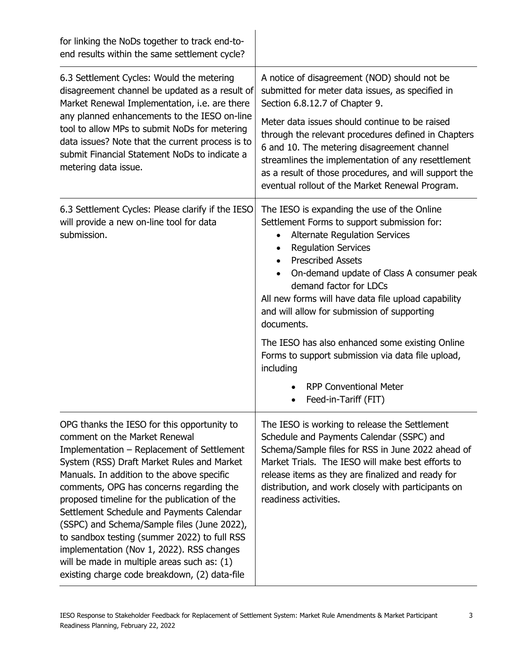| for linking the NoDs together to track end-to-<br>end results within the same settlement cycle?                                                                                                                                                                                                                                                                                                                                                                                                                                                                                                             |                                                                                                                                                                                                                                                                                                                                                                                                                                                                                                                                                                                                 |
|-------------------------------------------------------------------------------------------------------------------------------------------------------------------------------------------------------------------------------------------------------------------------------------------------------------------------------------------------------------------------------------------------------------------------------------------------------------------------------------------------------------------------------------------------------------------------------------------------------------|-------------------------------------------------------------------------------------------------------------------------------------------------------------------------------------------------------------------------------------------------------------------------------------------------------------------------------------------------------------------------------------------------------------------------------------------------------------------------------------------------------------------------------------------------------------------------------------------------|
| 6.3 Settlement Cycles: Would the metering<br>disagreement channel be updated as a result of<br>Market Renewal Implementation, i.e. are there<br>any planned enhancements to the IESO on-line<br>tool to allow MPs to submit NoDs for metering<br>data issues? Note that the current process is to<br>submit Financial Statement NoDs to indicate a<br>metering data issue.                                                                                                                                                                                                                                  | A notice of disagreement (NOD) should not be<br>submitted for meter data issues, as specified in<br>Section 6.8.12.7 of Chapter 9.<br>Meter data issues should continue to be raised<br>through the relevant procedures defined in Chapters<br>6 and 10. The metering disagreement channel<br>streamlines the implementation of any resettlement<br>as a result of those procedures, and will support the<br>eventual rollout of the Market Renewal Program.                                                                                                                                    |
| 6.3 Settlement Cycles: Please clarify if the IESO<br>will provide a new on-line tool for data<br>submission.                                                                                                                                                                                                                                                                                                                                                                                                                                                                                                | The IESO is expanding the use of the Online<br>Settlement Forms to support submission for:<br><b>Alternate Regulation Services</b><br><b>Requlation Services</b><br>$\bullet$<br><b>Prescribed Assets</b><br>$\bullet$<br>On-demand update of Class A consumer peak<br>demand factor for LDCs<br>All new forms will have data file upload capability<br>and will allow for submission of supporting<br>documents.<br>The IESO has also enhanced some existing Online<br>Forms to support submission via data file upload,<br>including<br><b>RPP Conventional Meter</b><br>Feed-in-Tariff (FIT) |
| OPG thanks the IESO for this opportunity to<br>comment on the Market Renewal<br>Implementation - Replacement of Settlement<br>System (RSS) Draft Market Rules and Market<br>Manuals. In addition to the above specific<br>comments, OPG has concerns regarding the<br>proposed timeline for the publication of the<br>Settlement Schedule and Payments Calendar<br>(SSPC) and Schema/Sample files (June 2022),<br>to sandbox testing (summer 2022) to full RSS<br>implementation (Nov 1, 2022). RSS changes<br>will be made in multiple areas such as: (1)<br>existing charge code breakdown, (2) data-file | The IESO is working to release the Settlement<br>Schedule and Payments Calendar (SSPC) and<br>Schema/Sample files for RSS in June 2022 ahead of<br>Market Trials. The IESO will make best efforts to<br>release items as they are finalized and ready for<br>distribution, and work closely with participants on<br>readiness activities.                                                                                                                                                                                                                                                       |